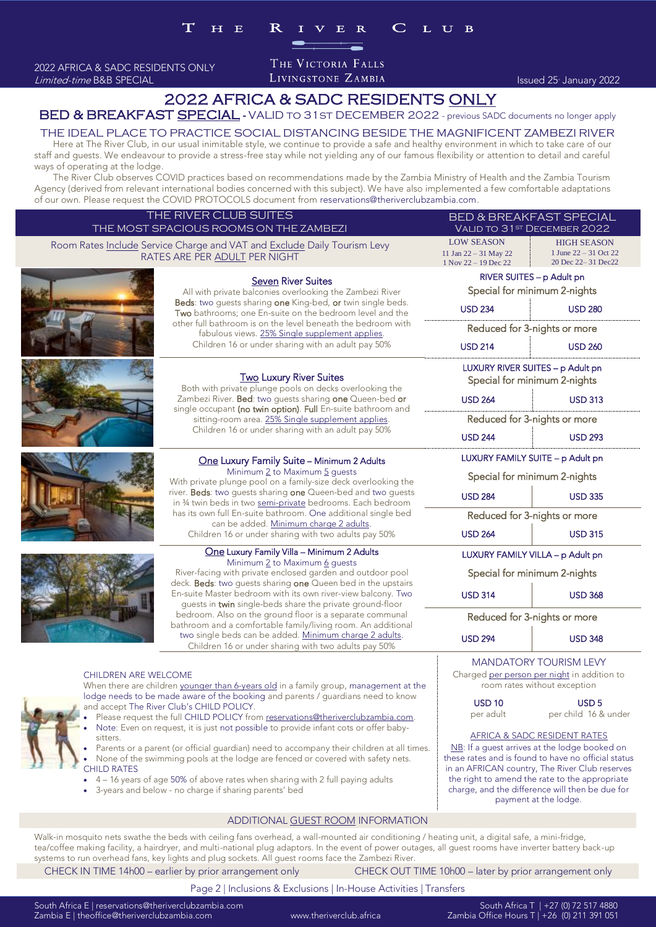### ፐ  $H E$  $\mathbf R$ I V E R  $\mathbf C$ L U B

2022 AFRICA & SADC RESIDENTS ONLY<br>Limited-time B&B SPECIAL Limited-time B&B SPECIAL **Intervention CITYLE CONTROVE AT A MBIA**<br>Issued 25th January 2022

THE VICTORIA FALLS

### í 2022 AFRICA & SADC RESIDENTS ONLY

BED & BREAKFAST SPECIAL - VALID TO 31ST DECEMBER 2022 - previous SADC documents no longer apply

### THE IDEAL PLACE TO PRACTICE SOCIAL DISTANCING BESIDE THE MAGNIFICENT ZAMBEZI RIVER

and quests. We endeavour to provide a stress-free stay while not vielding any of our famous flexibility or attention to detail and careful  $s_{\text{max}}$  of operating at the lodge ways of operating at the lodge.<br>The River Club observes COVID practices based on recommendations made by the Zambia Ministry of Health and the Zambia Tourism

Agency (derived from relevant international bodies concerned with this subiect). We have also implemented a few comfortable adaptations of our own. Please request the COVID PROTOCOLS document from reservations@theriverclubzambia.com

|                      | THE RIVER CLUB SUITES                                                                                                                                                                                                                                                                                                                                                                                                                                                                                                                                                                |                                                                                                                                                                              | <b>BED &amp; BREAKFAST SPECIAL</b>                                                                   |  |
|----------------------|--------------------------------------------------------------------------------------------------------------------------------------------------------------------------------------------------------------------------------------------------------------------------------------------------------------------------------------------------------------------------------------------------------------------------------------------------------------------------------------------------------------------------------------------------------------------------------------|------------------------------------------------------------------------------------------------------------------------------------------------------------------------------|------------------------------------------------------------------------------------------------------|--|
|                      | THE MOST SPACIOUS ROOMS ON THE ZAMBEZI<br>Room Rates Include Service Charge and VAT and Exclude Daily Tourism Levy                                                                                                                                                                                                                                                                                                                                                                                                                                                                   | VALID TO 31ST DECEMBER 2022<br><b>LOW SEASON</b><br>11 Jan 22 - 31 May 22                                                                                                    | <b>HIGH SEASON</b>                                                                                   |  |
|                      | RATES ARE PER ADULT PER NIGHT                                                                                                                                                                                                                                                                                                                                                                                                                                                                                                                                                        |                                                                                                                                                                              | 1 June 22 – 31 Oct 22<br>20 Dec 22-31 Dec22                                                          |  |
|                      | <b>Seven River Suites</b>                                                                                                                                                                                                                                                                                                                                                                                                                                                                                                                                                            | RIVER SUITES - p Adult pn                                                                                                                                                    |                                                                                                      |  |
|                      | All with private balconies overlooking the Zambezi River<br>Beds: two guests sharing one King-bed, or twin single beds.                                                                                                                                                                                                                                                                                                                                                                                                                                                              | Special for minimum 2-nights                                                                                                                                                 |                                                                                                      |  |
|                      | Two bathrooms; one En-suite on the bedroom level and the<br>other full bathroom is on the level beneath the bedroom with                                                                                                                                                                                                                                                                                                                                                                                                                                                             | <b>USD 234</b>                                                                                                                                                               | <b>USD 280</b>                                                                                       |  |
|                      | fabulous views. 25% Single supplement applies.<br>Children 16 or under sharing with an adult pay 50%                                                                                                                                                                                                                                                                                                                                                                                                                                                                                 | Reduced for 3-nights or more                                                                                                                                                 |                                                                                                      |  |
|                      |                                                                                                                                                                                                                                                                                                                                                                                                                                                                                                                                                                                      | <b>USD 214</b>                                                                                                                                                               | <b>USD 260</b>                                                                                       |  |
|                      | <b>Two Luxury River Suites</b><br>Both with private plunge pools on decks overlooking the<br>Zambezi River. Bed: two guests sharing one Queen-bed or                                                                                                                                                                                                                                                                                                                                                                                                                                 | LUXURY RIVER SUITES - p Adult pn<br>Special for minimum 2-nights                                                                                                             |                                                                                                      |  |
|                      |                                                                                                                                                                                                                                                                                                                                                                                                                                                                                                                                                                                      | <b>USD 264</b>                                                                                                                                                               | <b>USD 313</b>                                                                                       |  |
|                      | single occupant (no twin option). Full En-suite bathroom and<br>sitting-room area. 25% Single supplement applies.                                                                                                                                                                                                                                                                                                                                                                                                                                                                    | Reduced for 3-nights or more                                                                                                                                                 |                                                                                                      |  |
|                      | Children 16 or under sharing with an adult pay 50%                                                                                                                                                                                                                                                                                                                                                                                                                                                                                                                                   | <b>USD 244</b>                                                                                                                                                               | <b>USD 293</b>                                                                                       |  |
|                      | One Luxury Family Suite - Minimum 2 Adults                                                                                                                                                                                                                                                                                                                                                                                                                                                                                                                                           | LUXURY FAMILY SUITE - p Adult pn                                                                                                                                             |                                                                                                      |  |
|                      | Minimum 2 to Maximum 5 guests<br>With private plunge pool on a family-size deck overlooking the                                                                                                                                                                                                                                                                                                                                                                                                                                                                                      | Special for minimum 2-nights                                                                                                                                                 |                                                                                                      |  |
|                      | river. Beds: two guests sharing one Queen-bed and two guests<br>in 34 twin beds in two semi-private bedrooms. Each bedroom                                                                                                                                                                                                                                                                                                                                                                                                                                                           | <b>USD 284</b>                                                                                                                                                               | <b>USD 335</b>                                                                                       |  |
|                      | has its own full En-suite bathroom. One additional single bed<br>can be added. Minimum charge 2 adults.<br>Children 16 or under sharing with two adults pay 50%                                                                                                                                                                                                                                                                                                                                                                                                                      | Reduced for 3-nights or more                                                                                                                                                 |                                                                                                      |  |
|                      |                                                                                                                                                                                                                                                                                                                                                                                                                                                                                                                                                                                      | <b>USD 264</b>                                                                                                                                                               | <b>USD 315</b>                                                                                       |  |
|                      | One Luxury Family Villa - Minimum 2 Adults<br>Minimum 2 to Maximum 6 quests<br>River-facing with private enclosed garden and outdoor pool<br>deck. Beds: two guests sharing one Queen bed in the upstairs<br>En-suite Master bedroom with its own river-view balcony. Two<br>guests in twin single-beds share the private ground-floor<br>bedroom. Also on the ground floor is a separate communal<br>bathroom and a comfortable family/living room. An additional<br>two single beds can be added. Minimum charge 2 adults.<br>Children 16 or under sharing with two adults pay 50% | LUXURY FAMILY VILLA - p Adult pn                                                                                                                                             |                                                                                                      |  |
|                      |                                                                                                                                                                                                                                                                                                                                                                                                                                                                                                                                                                                      | Special for minimum 2-nights                                                                                                                                                 |                                                                                                      |  |
|                      |                                                                                                                                                                                                                                                                                                                                                                                                                                                                                                                                                                                      | <b>USD 314</b>                                                                                                                                                               | <b>USD 368</b>                                                                                       |  |
|                      |                                                                                                                                                                                                                                                                                                                                                                                                                                                                                                                                                                                      | Reduced for 3-nights or more                                                                                                                                                 |                                                                                                      |  |
|                      |                                                                                                                                                                                                                                                                                                                                                                                                                                                                                                                                                                                      | <b>USD 294</b>                                                                                                                                                               | <b>USD 348</b>                                                                                       |  |
|                      |                                                                                                                                                                                                                                                                                                                                                                                                                                                                                                                                                                                      |                                                                                                                                                                              | <b>MANDATORY TOURISM LEVY</b>                                                                        |  |
| CHILDREN ARE WELCOME |                                                                                                                                                                                                                                                                                                                                                                                                                                                                                                                                                                                      | Charged per person per night in addition to                                                                                                                                  |                                                                                                      |  |
|                      | When there are children younger than 6-years old in a family group, management at the                                                                                                                                                                                                                                                                                                                                                                                                                                                                                                |                                                                                                                                                                              | room rates without exception                                                                         |  |
|                      | lodge needs to be made aware of the booking and parents / guardians need to know<br>and accept The River Club's CHILD POLICY.<br>Please request the full CHILD POLICY from reservations@theriverclubzambia.com.<br>Note: Even on request, it is just not possible to provide infant cots or offer baby-<br>sitters.<br>Parents or a parent (or official guardian) need to accompany their children at all times.<br>None of the swimming pools at the lodge are fenced or covered with safety nets.                                                                                  |                                                                                                                                                                              | USD <sub>5</sub>                                                                                     |  |
|                      |                                                                                                                                                                                                                                                                                                                                                                                                                                                                                                                                                                                      |                                                                                                                                                                              | per child 16 & under                                                                                 |  |
|                      |                                                                                                                                                                                                                                                                                                                                                                                                                                                                                                                                                                                      |                                                                                                                                                                              | <b>AFRICA &amp; SADC RESIDENT RATES</b>                                                              |  |
|                      |                                                                                                                                                                                                                                                                                                                                                                                                                                                                                                                                                                                      |                                                                                                                                                                              | NB: If a quest arrives at the lodge booked on<br>these rates and is found to have no official status |  |
| <b>CHILD RATES</b>   |                                                                                                                                                                                                                                                                                                                                                                                                                                                                                                                                                                                      | in an AFRICAN country, The River Club reserves<br>the right to amend the rate to the appropriate<br>charge, and the difference will then be due for<br>payment at the lodge. |                                                                                                      |  |
|                      | • 4 - 16 years of age 50% of above rates when sharing with 2 full paying adults                                                                                                                                                                                                                                                                                                                                                                                                                                                                                                      |                                                                                                                                                                              |                                                                                                      |  |
|                      | 3-years and below - no charge if sharing parents' bed                                                                                                                                                                                                                                                                                                                                                                                                                                                                                                                                |                                                                                                                                                                              |                                                                                                      |  |
|                      |                                                                                                                                                                                                                                                                                                                                                                                                                                                                                                                                                                                      |                                                                                                                                                                              |                                                                                                      |  |

ADDITIONAL <u>GUEST ROOM</u> INFORMATION<br>Walk-in mosquito nets swathe the beds with ceiling fans overhead, a wall-mounted air conditioning / heating unit, a digital safe, a mini-fridge, tea/coffee making facility, a hairdryer, and multi-national plug adaptors. In the event of power outages, all guest rooms have inverter battery back-up systems to run overhead fans, key lights and plug sockets. All guest rooms face the Zambezi River.

CHECK IN TIME 14h00 - earlier by prior arrangement only

CHECK OUT TIME 10h00 – later by prior arrangement only

### Page 2 | Inclusions & Exclusions | In-House Activities | Transfers

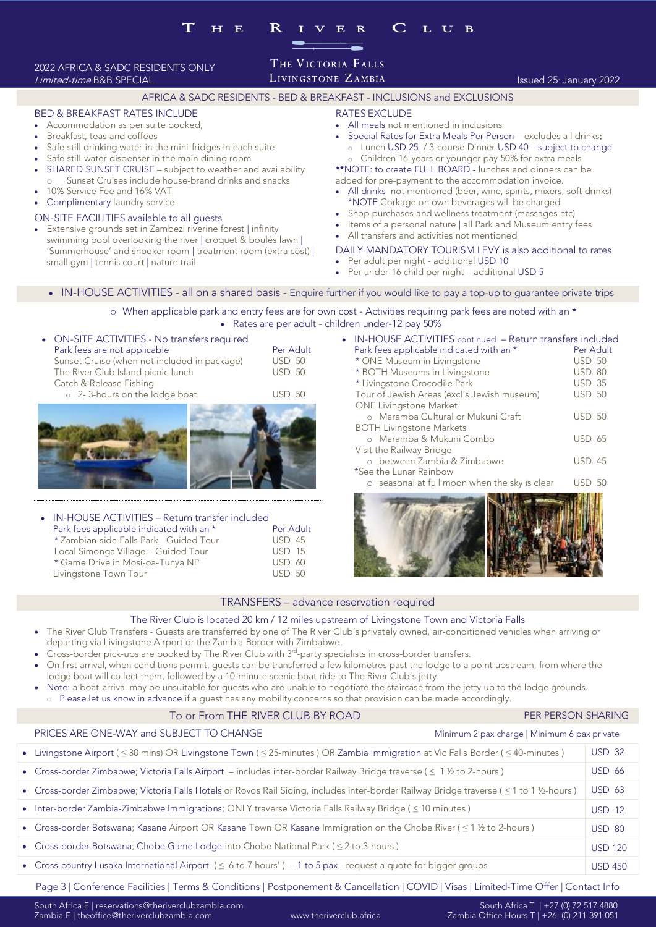### $H$  $E$ L U B  $\mathbf{E}$  $\overline{\mathbf{R}}$

2022 AFRICA & SADC RESIDENTS ONLY<br>*Limited-time* B&B SPECIAL

# THE VICTORIA FALLS

### Livingstone Zambia وIAL Issued 25 January 2022<br>AFRICA & SADC RESIDENTS - BED & BREAKFAST - INCLUSIONS and EXCLUSIONS  $\mathbf{A} = \mathbf{A} \mathbf{A} \mathbf{A} \mathbf{A} \mathbf{A} \mathbf{A} \mathbf{A} \mathbf{A} \mathbf{A} \mathbf{A} \mathbf{A} \mathbf{A} \mathbf{A} \mathbf{A} \mathbf{A} \mathbf{A} \mathbf{A} \mathbf{A} \mathbf{A} \mathbf{A} \mathbf{A} \mathbf{A} \mathbf{A} \mathbf{A} \mathbf{A} \mathbf{A} \mathbf{A} \mathbf{A} \mathbf{A} \mathbf{A} \mathbf{A} \mathbf{A} \mathbf{A} \mathbf{A} \mathbf{A} \mathbf$

- Accommodation as per suite booked,<br>Breakfast teas and coffees
- Breakfast, teas and coffees
- Safe still drinking water in the mini-fridges in each suite
- Safe still-water dispenser in the main dining room
- SHARED SUNSET CRUISE subject to weather and availability Sunset Cruises include house-brand drinks and snacks
- 10% Service Fee and 16% VAT<br>• Complimentary laundry service
- 

# • Complimentary laundry service<br>
ON-SITE FACILITIES available to all quests

Extensive grounds set in Zambezi riverine forest  $\vert$  infinity<br>swimming pool overlooking the river Leroquet & boulée swimming pool overlooking the river | croquet & boulés lawn |<br>'Summerhouse' and snooker room | treatment room (extra cost) | small gym | tennis court | nature trail. small gym | tennis court | nature trail.

- 
- RATES EXCLUDE<br>• All meals not mentioned in inclusions • All meals not mentioned in inclusions<br>• Special Bates for Extra Meals Per Pers
- Special Rates for Extra Meals Per Person excludes all drinks:<br>All unch USD 25 / 3-course Dinner USD 40 subject to change Lunch USD 25 / 3-course Dinner USD 40 – subject to change

o Children 16-years or younger pay 50% for extra meals<br>\*\*<u>NOTE</u>: to create <u>FULL BOARD</u> - lunches and dinners can be

- added for pre-payment to the accommodation invoice. • All drinks not mentioned (beer, wine, spirits, mixers, soft drinks)<br>\*NOTE Corkage on own beverages will be charged
- Shop purchases and wellness treatment (massages etc)<br>• Items of a personal pature Lall Park and Museum entry
- Items of a personal nature | all Park and Museum entry fees
- 

## • All transfers and activities not mentioned<br>
DAILY MANDATORY TOURISM LEVY is also additional to rates

Per adult per night - additional USD 10<br>Per under 16 child per night - additional USD 5 Per under-16 child per night – additional USD 5

### • IN-HOUSE ACTIVITIES - all on a shared basis - Enquire further if you would like to pay a top-up to guarantee private trips

### <sup>o</sup> When applicable park and entry fees are for own cost - Activities requiring park fees are noted with an \* Rates are per adult - children under-12 pay 50%

| • ON-SITE ACTIVITIES - No transfers required |           |
|----------------------------------------------|-----------|
| Park fees are not applicable                 | Per Adult |
| Sunset Cruise (when not included in package) | $USD$ 50  |
| The River Club Island picnic lunch           | $USD$ 50  |
| Catch & Release Fishing                      |           |
| o 2-3-hours on the lodge boat                | $USD$ 50  |
|                                              |           |





### IN-HOUSE ACTIVITIES – Return transfer included Park fees applicable indicated with an \* Per Adult<br>\* Zambian-side Falls Park - Guided Tour Bush NUSD 45 Local Simonga Village - Guided Tour **Cambian COST** 15 Local Simonga Village – Guided Tour USD 15

Livingstone Town Tour and Most view USD 50  $L$  ,  $L$  ,  $L$  ,  $L$  ,  $L$  ,  $L$  ,  $L$  ,  $L$  ,  $L$  ,  $L$  ,  $L$  ,  $L$  ,  $L$  ,  $L$  ,  $L$  ,  $L$  ,  $L$  ,  $L$  ,  $L$  ,  $L$  ,  $L$  ,  $L$  ,  $L$  ,  $L$  ,  $L$  ,  $L$  ,  $L$  ,  $L$  ,  $L$  ,  $L$  ,  $L$  ,  $L$  ,  $L$  ,  $L$  ,  $L$  ,  $L$  ,  $L$  ,

| ٠ | IN-HOUSE ACTIVITIES continued - Return transfers included |               |  |
|---|-----------------------------------------------------------|---------------|--|
|   | Park fees applicable indicated with an *                  | Per Adult     |  |
|   | * ONE Museum in Livingstone                               | $USD$ 50      |  |
|   | * BOTH Museums in Livingstone                             | $USD$ 80      |  |
|   | * Livingstone Crocodile Park                              | $USD$ 35      |  |
|   | Tour of Jewish Areas (excl's Jewish museum)               | $USD$ 50      |  |
|   | <b>ONE Livingstone Market</b>                             |               |  |
|   | o Maramba Cultural or Mukuni Craft                        | $USD$ 50      |  |
|   | <b>BOTH Livingstone Markets</b>                           |               |  |
|   | o Maramba & Mukuni Combo                                  | $USD$ 65      |  |
|   | Visit the Railway Bridge                                  |               |  |
|   | o between Zambia & Zimbabwe                               | $USD$ 45      |  |
|   | *See the Lunar Rainbow                                    |               |  |
|   | o seasonal at full moon when the sky is clear             | <b>USD 50</b> |  |
|   |                                                           |               |  |



# TRANSFERS – advance reservation required<br>The River Club is located 20 km / 12 miles upstream of Livingstone Town and Victoria Falls

- The River Club Transfers Guests are transferred by one of The River Club's privately owned, air-conditioned vehicles when arriving or<br>departing via Livingstone Airport or the Zambia Border with Zimbabwe
- Cross-border pick-ups are booked by The River Club with  $3^{rd}$ -party spectrum conditions permit quests can be transferred a few
- On first arrival, when conditions permit, guests can be transferred a few kilometres past the lodge to a point upstream, from where the lodge host will collect them, followed by a 10-minute scenic boat ride to The River
- Note: a boat-arrival may be unsuitable for guests who are unable to negotiate the staircase from the jetty up to the lodge grounds.<br>• Please let us know in advance if a quest has any mobility concerns so that provision c <sup>o</sup> Please let us know in advance if a guest has any mobility concerns so that provision can be made accordingly.

| To or From THE RIVER CLUB BY ROAD<br><b>PER PERSON SHARING</b><br>PRICES ARE ONE-WAY and SUBJECT TO CHANGE<br>Minimum 2 pax charge   Minimum 6 pax private<br><b>USD 32</b><br>• Livingstone Airport ( $\leq$ 30 mins) OR Livingstone Town ( $\leq$ 25-minutes) OR Zambia Immigration at Vic Falls Border ( $\leq$ 40-minutes)<br><b>USD 66</b><br>• Cross-border Zimbabwe; Victoria Falls Airport – includes inter-border Railway Bridge traverse ( $\leq 1$ 1/2 to 2-hours ) |                                                                                                                                             |               |
|--------------------------------------------------------------------------------------------------------------------------------------------------------------------------------------------------------------------------------------------------------------------------------------------------------------------------------------------------------------------------------------------------------------------------------------------------------------------------------|---------------------------------------------------------------------------------------------------------------------------------------------|---------------|
|                                                                                                                                                                                                                                                                                                                                                                                                                                                                                |                                                                                                                                             |               |
|                                                                                                                                                                                                                                                                                                                                                                                                                                                                                |                                                                                                                                             |               |
|                                                                                                                                                                                                                                                                                                                                                                                                                                                                                |                                                                                                                                             |               |
|                                                                                                                                                                                                                                                                                                                                                                                                                                                                                |                                                                                                                                             |               |
|                                                                                                                                                                                                                                                                                                                                                                                                                                                                                | • Cross-border Zimbabwe; Victoria Falls Hotels or Rovos Rail Siding, includes inter-border Railway Bridge traverse ( $\leq 1$ to 1 ½-hours) | <b>USD 63</b> |
| • Inter-border Zambia-Zimbabwe Immigrations; ONLY traverse Victoria Falls Railway Bridge ( $\leq$ 10 minutes )<br>$USD$ 12                                                                                                                                                                                                                                                                                                                                                     |                                                                                                                                             |               |
| • Cross-border Botswana; Kasane Airport OR Kasane Town OR Kasane Immigration on the Chobe River ( $\leq 1 \frac{1}{2}$ to 2-hours)<br><b>USD 80</b>                                                                                                                                                                                                                                                                                                                            |                                                                                                                                             |               |
| • Cross-border Botswana; Chobe Game Lodge into Chobe National Park ( $\leq$ 2 to 3-hours )<br><b>USD 120</b>                                                                                                                                                                                                                                                                                                                                                                   |                                                                                                                                             |               |
| • Cross-country Lusaka International Airport ( $\leq$ 6 to 7 hours') – 1 to 5 pax - request a quote for bigger groups<br><b>USD 450</b>                                                                                                                                                                                                                                                                                                                                        |                                                                                                                                             |               |

South Afri[ca E | reservations@theriverclubzamb](mailto:theoffice@theriverclubzambia.com)ia.com South Africa T | +27 (0) 72 517 4880

Page 3 | Conference Facilities | Terms & Conditions | Postponement & Cancellation | COVID | Visas | Limited-Time Offer | Contact Info